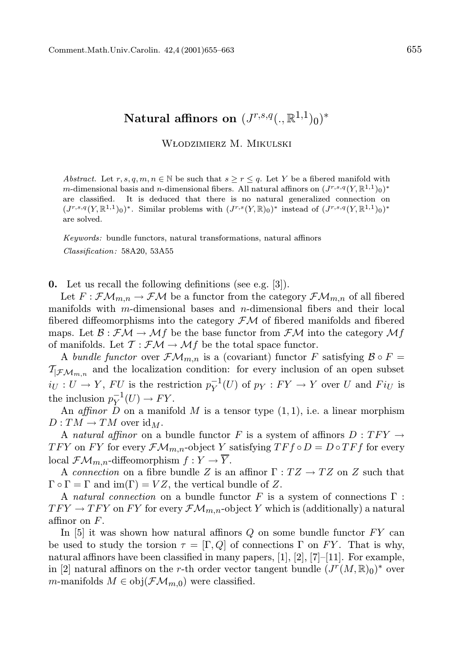## Natural affinors on  $(J^{r,s,q}(.,\mathbb{R}^{1,1})_0)^*$

## WŁODZIMIERZ M. MIKULSKI

Abstract. Let r, s, q, m,  $n \in \mathbb{N}$  be such that  $s \geq r \leq q$ . Let Y be a fibered manifold with *m*-dimensional basis and *n*-dimensional fibers. All natural affinors on  $(J^{r,s,q}(Y,\mathbb{R}^{1,1})_0)^*$ are classified. It is deduced that there is no natural generalized connection on  $(J^{r,s,q}(Y,\mathbb{R}^{1,1})_0)^*$ . Similar problems with  $(J^{r,s}(Y,\mathbb{R})_0)^*$  instead of  $(J^{r,s,q}(Y,\mathbb{R}^{1,1})_0)^*$ are solved.

Keywords: bundle functors, natural transformations, natural affinors Classification: 58A20, 53A55

0. Let us recall the following definitions (see e.g. [3]).

Let  $F: \mathcal{F}\mathcal{M}_{m,n}\to \mathcal{F}\mathcal{M}$  be a functor from the category  $\mathcal{F}\mathcal{M}_{m,n}$  of all fibered manifolds with m-dimensional bases and n-dimensional fibers and their local fibered diffeomorphisms into the category  $\mathcal{F}M$  of fibered manifolds and fibered maps. Let  $\mathcal{B}: \mathcal{FM} \to \mathcal{M}f$  be the base functor from  $\mathcal{FM}$  into the category  $\mathcal{M}f$ of manifolds. Let  $\mathcal{T} : \mathcal{F} \mathcal{M} \to \mathcal{M} f$  be the total space functor.

A bundle functor over  $\mathcal{FM}_{m,n}$  is a (covariant) functor F satisfying  $\mathcal{B} \circ F =$  $\mathcal{T}_{\mathcal{F}\mathcal{M}_{m,n}}$  and the localization condition: for every inclusion of an open subset  $i_U: U \to Y$ , FU is the restriction  $p_Y^{-1}(U)$  of  $p_Y: FY \to Y$  over U and  $Fi_U$  is the inclusion  $p_Y^{-1}(U) \to FY$ .

An affinor D on a manifold M is a tensor type  $(1, 1)$ , i.e. a linear morphism  $D: TM \to TM$  over  $\mathrm{id}_M$ .

A natural affinor on a bundle functor F is a system of affinors  $D: TFY \rightarrow$ TFY on FY for every  $\mathcal{F}\mathcal{M}_{m,n}$ -object Y satisfying  $T$ F $f \circ D = D \circ T$ F $f$  for every local  $\mathcal{F}\mathcal{M}_{m,n}$ -diffeomorphism  $f:Y\to \overline{Y}$ .

A connection on a fibre bundle Z is an affinor  $\Gamma: TZ \to TZ$  on Z such that  $\Gamma \circ \Gamma = \Gamma$  and  $\text{im}(\Gamma) = VZ$ , the vertical bundle of Z.

A natural connection on a bundle functor F is a system of connections  $\Gamma$ :  $TFY \rightarrow TFY$  on FY for every  $\mathcal{FM}_{m,n}$ -object Y which is (additionally) a natural affinor on F.

In  $[5]$  it was shown how natural affinors Q on some bundle functor  $FY$  can be used to study the torsion  $\tau = [\Gamma, Q]$  of connections  $\Gamma$  on FY. That is why, natural affinors have been classified in many papers,  $[1]$ ,  $[2]$ ,  $[7]$ – $[11]$ . For example, in [2] natural affinors on the r-th order vector tangent bundle  $(J^r(M,\mathbb{R})_0)^*$  over m-manifolds  $M \in obj(\mathcal{FM}_{m,0})$  were classified.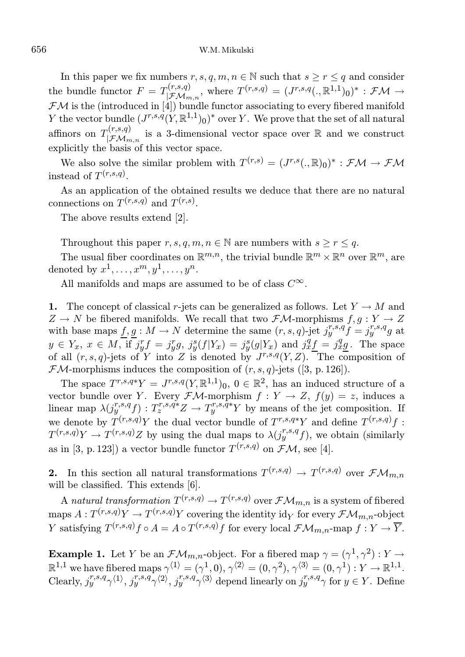In this paper we fix numbers  $r, s, q, m, n \in \mathbb{N}$  such that  $s \geq r \leq q$  and consider the bundle functor  $F = T_{\vert \mathcal{F} M}^{(r,s,q)}$  $T^{(r,s,q)}_{\mathcal{F}\mathcal{M}_{m,n}}, \text{ where } T^{(r,s,q)} = (J^{r,s,q}(.,\mathbb{R}^{1,1})_0)^* : \mathcal{F}\mathcal{M} \rightarrow$  $\mathcal{F}M$  is the (introduced in [4]) bundle functor associating to every fibered manifold Y the vector bundle  $(J^{r,s,q}(Y,\mathbb{R}^{1,1})_0)^*$  over Y. We prove that the set of all natural affinors on  $T^{(r,s,q)}_{\square \in \Lambda}$  $|\mathcal{FM}_{m,n}\rangle$  is a 3-dimensional vector space over R and we construct explicitly the basis of this vector space.

We also solve the similar problem with  $T^{(r,s)} = (J^{r,s}(.,\mathbb{R})_0)^* : \mathcal{F} \mathcal{M} \to \mathcal{F} \mathcal{M}$ instead of  $T^{(r,s,q)}$ .

As an application of the obtained results we deduce that there are no natural connections on  $T^{(r,s,q)}$  and  $T^{(r,s)}$ .

The above results extend [2].

Throughout this paper  $r, s, q, m, n \in \mathbb{N}$  are numbers with  $s > r < q$ .

The usual fiber coordinates on  $\mathbb{R}^{m,n}$ , the trivial bundle  $\mathbb{R}^m \times \mathbb{R}^n$  over  $\mathbb{R}^m$ , are denoted by  $x^1, \ldots, x^m, y^1, \ldots, y^n$ .

All manifolds and maps are assumed to be of class  $C^{\infty}$ .

1. The concept of classical r-jets can be generalized as follows. Let  $Y \to M$  and  $Z \to N$  be fibered manifolds. We recall that two  $\mathcal{F}\mathcal{M}$ -morphisms  $f, g: Y \to Z$ with base maps  $f, g: M \to N$  determine the same  $(r, s, q)$ -jet  $j^{r, s, q}_y f = j^{r, s, q}_y g$  at  $y \in Y_x$ ,  $x \in M$ , if  $j_y^r f = j_y^r g$ ,  $j_y^s(f|Y_x) = j_y^s(g|Y_x)$  and  $j_x^q f = j_x^q g$ . The space of all  $(r, s, q)$ -jets of Y into Z is denoted by  $J^{r,s,q}(Y, Z)$ . The composition of  $\mathcal{F}M$ -morphisms induces the composition of  $(r, s, q)$ -jets ([3, p. 126]).

The space  $T^{r,s,q*}Y = J^{r,s,q}(Y,\mathbb{R}^{1,1})_0$ ,  $0 \in \mathbb{R}^2$ , has an induced structure of a vector bundle over Y. Every  $\mathcal{F}M$ -morphism  $f: Y \to Z$ ,  $f(y) = z$ , induces a linear map  $\lambda(j^{r,s,q}_{y})$ :  $T^{r,s,q*}_{z}Z \to T^{r,s,q*}_{y}Y$  by means of the jet composition. If we denote by  $T^{(r,s,q)}Y$  the dual vector bundle of  $T^{r,s,q*}Y$  and define  $T^{(r,s,q)}f$ :  $T^{(r,s,q)}Y \to T^{(r,s,q)}Z$  by using the dual maps to  $\lambda(j_y^{r,s,q}f)$ , we obtain (similarly as in [3, p. 123]) a vector bundle functor  $T^{(r,s,q)}$  on  $\mathcal{FM}$ , see [4].

**2.** In this section all natural transformations  $T^{(r,s,q)} \to T^{(r,s,q)}$  over  $\mathcal{FM}_{m,n}$ will be classified. This extends [6].

A natural transformation  $T^{(r,s,q)} \to T^{(r,s,q)}$  over  $\mathcal{FM}_{m,n}$  is a system of fibered maps  $A: T^{(r,s,q)}Y \to T^{(r,s,q)}Y$  covering the identity id $_Y$  for every  $\mathcal{FM}_{m,n}$ -object Y satisfying  $T^{(r,s,q)}f \circ A = A \circ T^{(r,s,q)}f$  for every local  $\mathcal{FM}_{m,n}$ -map  $f: Y \to \overline{Y}$ .

**Example 1.** Let Y be an  $\mathcal{FM}_{m,n}$ -object. For a fibered map  $\gamma = (\gamma^1, \gamma^2) : Y \to Y$  $\mathbb{R}^{1,1}$  we have fibered maps  $\gamma^{\langle 1 \rangle} = (\gamma^1,0), \gamma^{\langle 2 \rangle} = (0,\gamma^2), \gamma^{\langle 3 \rangle} = (0,\gamma^1): Y \to \mathbb{R}^{1,1}.$ Clearly,  $j_{y}^{r,s,q}\gamma^{(1)}, j_{y}^{r,s,q}\gamma^{(2)}, j_{y}^{r,s,q}\gamma^{(3)}$  depend linearly on  $j_{y}^{r,s,q}\gamma$  for  $y \in Y$ . Define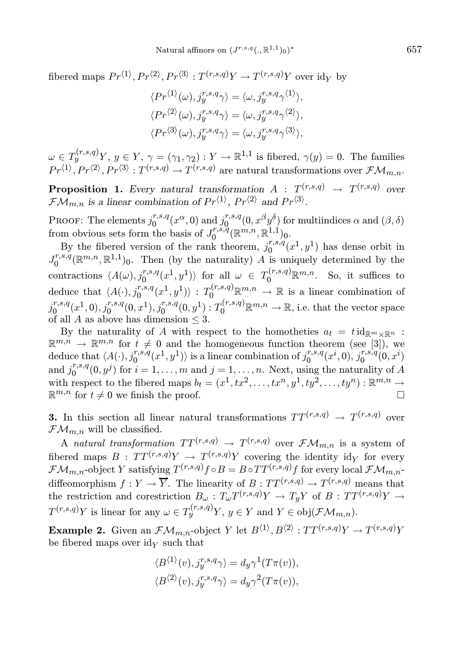fibered maps  $Pr^{\langle 1 \rangle}, Pr^{\langle 2 \rangle}, Pr^{\langle 3 \rangle} : T^{(r,s,q)}Y \to T^{(r,s,q)}Y$  over  $\mathrm{id}_Y$  by

$$
\langle Pr^{\langle 1 \rangle}(\omega), j_y^{r,s,q} \gamma \rangle = \langle \omega, j_y^{r,s,q} \gamma^{\langle 1 \rangle} \rangle,
$$
  

$$
\langle Pr^{\langle 2 \rangle}(\omega), j_y^{r,s,q} \gamma \rangle = \langle \omega, j_y^{r,s,q} \gamma^{\langle 2 \rangle} \rangle,
$$
  

$$
\langle Pr^{\langle 3 \rangle}(\omega), j_y^{r,s,q} \gamma \rangle = \langle \omega, j_y^{r,s,q} \gamma^{\langle 3 \rangle} \rangle,
$$

 $\omega \in T_y^{(r,s,q)}Y, y \in Y, \gamma = (\gamma_1, \gamma_2) : Y \to \mathbb{R}^{1,1}$  is fibered,  $\gamma(y) = 0$ . The families  $Pr^{\langle 1 \rangle}, Pr^{\langle 2 \rangle}, Pr^{\langle 3 \rangle} : T^{(r,s,q)} \to T^{(r,s,q)}$  are natural transformations over  $\mathcal{FM}_{m,n}$ .

**Proposition 1.** Every natural transformation  $A : T^{(r,s,q)} \rightarrow T^{(r,s,q)}$  over  $\mathcal{F}\mathcal{M}_{m,n}$  is a linear combination of  $Pr^{\langle 1 \rangle}$ ,  $Pr^{\langle 2 \rangle}$  and  $Pr^{\langle 3 \rangle}$ .

PROOF: The elements  $j_0^{r,s,q}$  $v_0^{r,s,q}(x^{\alpha},0)$  and  $v_0^{r,s,q}$  $\int_{0}^{r,s,q}(0,x^{\beta}y^{\delta})$  for multiindices  $\alpha$  and  $(\beta,\delta)$ from obvious sets form the basis of  $J_0^{r,s,q}$  $\mathbb{R}^{r,s,\tilde{q}}(\mathbb{R}^{m,n},\mathbb{R}^{1,1})_0.$ 

By the fibered version of the rank theorem,  $j_0^{r,s,q}$  $_{0}^{r,s,q}(x^1,y^1)$  has dense orbit in  $J_0^{r,s,q}$  $\binom{r,s,q}{0}$ ( $\mathbb{R}^{m,n}, \mathbb{R}^{1,1}$ )<sub>0</sub>. Then (by the naturality) A is uniquely determined by the contractions  $\langle A(\omega), j_0^{r,s,q}(x^1,y^1)\rangle$  for all  $\omega \in T_0^{(r,s,q)} \mathbb{R}^{m,n}$ . So, it suffices to deduce that  $\langle A(\cdot), j_0^{r,s,q}(x^1,y^1)\rangle : T_0^{(r,s,q)} \mathbb{R}^{m,n} \to \mathbb{R}$  is a linear combination of  $j_0^{r,s,q}$  $\frac{(n-1)(0)}{0}$ ,  $j_0^{r,s,q}(0,x^1), j_0^{r,s,q}(0,y^1): T_0^{(r,s,q)} \mathbb{R}^{m,n} \to \mathbb{R}$ , i.e. that the vector space of all A as above has dimension  $\leq$  3.

By the naturality of A with respect to the homotheties  $a_t = t \mathrm{id}_{\mathbb{R}^m \times \mathbb{R}^n}$ :  $\mathbb{R}^{m,n} \to \mathbb{R}^{m,n}$  for  $t \neq 0$  and the homogeneous function theorem (see [3]), we deduce that  $\langle A(\cdot), j_0^{r,s,q}(x^1,y^1)\rangle$  is a linear combination of  $j_0^{r,s,q}$  $j_0^{r,s,q}(x^i,0), j_0^{r,s,q}$  $_{0}^{r,s,q}(0,x^{i})$ and  $j_0^{r,s,q}$  $\binom{r,s,q}{0}(0,y^j)$  for  $i=1,\ldots,m$  and  $j=1,\ldots,n$ . Next, using the naturality of A with respect to the fibered maps  $b_t = (x^1, tx^2, \ldots, tx^n, y^1, ty^2, \ldots, ty^n) : \mathbb{R}^{m,n} \to$  $\mathbb{R}^{m,n}$  for  $t \neq 0$  we finish the proof.

**3.** In this section all linear natural transformations  $TT^{(r,s,q)} \rightarrow T^{(r,s,q)}$  over  $\mathcal{F}\mathcal{M}_{m,n}$  will be classified.

A natural transformation  $TT^{(r,s,q)} \rightarrow T^{(r,s,q)}$  over  $\mathcal{FM}_{m,n}$  is a system of fibered maps  $B: TT^{(r,s,q)}Y \rightarrow T^{(r,s,q)}Y$  covering the identity idy for every  $\mathcal{F}\mathcal{M}_{m,n}$ -object Y satisfying  $T^{(r,s,q)}f \circ B = B \circ TT^{(r,s,q)}f$  for every local  $\mathcal{F}\mathcal{M}_{m,n}$ diffeomorphism  $f: Y \to \overline{Y}$ . The linearity of  $B: TT^{(r,s,q)} \to T^{(r,s,q)}$  means that the restriction and corestriction  $B_{\omega}: T_{\omega}T^{(r,s,q)}Y \to T_yY$  of  $B: TT^{(r,s,q)}Y \to T_yY$  $T^{(r,s,q)}Y$  is linear for any  $\omega \in T^{(r,s,q)}_yY, y \in Y$  and  $Y \in \text{obj}(\mathcal{F}\mathcal{M}_{m,n}).$ 

**Example 2.** Given an  $\mathcal{FM}_{m,n}$ -object Y let  $B^{\langle 1 \rangle}, B^{\langle 2 \rangle} : TT^{(r,s,q)}Y \to T^{(r,s,q)}Y$ be fibered maps over  $\mathrm{id}_Y$  such that

$$
\langle B^{(1)}(v), j_y^{r,s,q} \gamma \rangle = d_y \gamma^1(T\pi(v)),
$$
  

$$
\langle B^{(2)}(v), j_y^{r,s,q} \gamma \rangle = d_y \gamma^2(T\pi(v)),
$$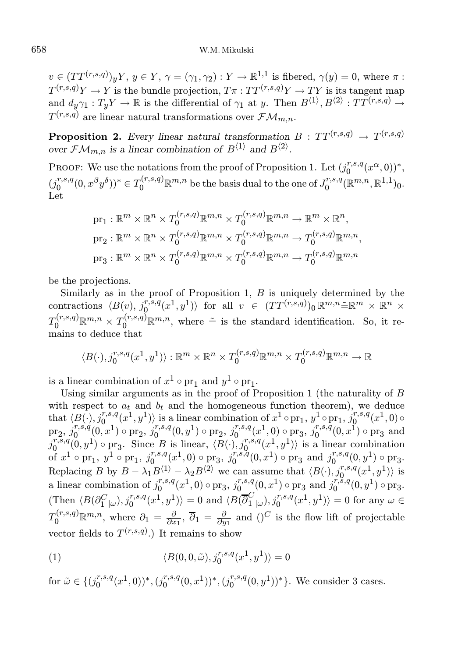$v \in (TT^{(r,s,q)})_yY, y \in Y, \gamma = (\gamma_1, \gamma_2) : Y \to \mathbb{R}^{1,1}$  is fibered,  $\gamma(y) = 0$ , where  $\pi$ :  $T^{(r,s,q)}Y \to Y$  is the bundle projection,  $T\pi : TT^{(r,s,q)}Y \to TY$  is its tangent map and  $d_y\gamma_1: T_yY \to \mathbb{R}$  is the differential of  $\gamma_1$  at y. Then  $B^{\langle 1 \rangle}, B^{\langle 2 \rangle}: TT^{(r,s,q)} \to$  $T^{(r,s,q)}$  are linear natural transformations over  $\mathcal{FM}_{m,n}$ .

**Proposition 2.** Every linear natural transformation  $B : TT^{(r,s,q)} \rightarrow T^{(r,s,q)}$ over  $\mathcal{FM}_{m,n}$  is a linear combination of  $B^{\langle 1 \rangle}$  and  $B^{\langle 2 \rangle}$ .

PROOF: We use the notations from the proof of Proposition 1. Let  $(j_0^{r,s,q})$  $_{0}^{r,s,q}(x^{\alpha},0))^{*},$  $(j_0^{r,s,q})$  $(v_0, v_0, v_0)$ <sup>\*</sup>  $\in T_0^{(r,s,q)} \mathbb{R}^{m,n}$  be the basis dual to the one of  $J_0^{r,s,q}$  $_{0}^{r,s,q}(\mathbb{R}^{m,n},\mathbb{R}^{1,1})_{0}.$ Let

$$
\begin{aligned} & \mathrm{pr}_1: \mathbb{R}^m \times \mathbb{R}^n \times T_0^{(r,s,q)} \mathbb{R}^{m,n} \times T_0^{(r,s,q)} \mathbb{R}^{m,n} \to \mathbb{R}^m \times \mathbb{R}^n, \\ & \mathrm{pr}_2: \mathbb{R}^m \times \mathbb{R}^n \times T_0^{(r,s,q)} \mathbb{R}^{m,n} \times T_0^{(r,s,q)} \mathbb{R}^{m,n} \to T_0^{(r,s,q)} \mathbb{R}^{m,n}, \\ & \mathrm{pr}_3: \mathbb{R}^m \times \mathbb{R}^n \times T_0^{(r,s,q)} \mathbb{R}^{m,n} \times T_0^{(r,s,q)} \mathbb{R}^{m,n} \to T_0^{(r,s,q)} \mathbb{R}^{m,n} \end{aligned}
$$

be the projections.

Similarly as in the proof of Proposition 1,  $B$  is uniquely determined by the contractions  $\langle B(v), j_0^{r,s,q}(x^1,y^1)\rangle$  for all  $v \in (TT^{(r,s,q)})_0 \mathbb{R}^{m,n} \tilde{=} \mathbb{R}^m \times \mathbb{R}^n \times$  $T_0^{(r,s,q)}\mathbb{R}^{m,n}\times T_0^{(r,s,q)}\mathbb{R}^{m,n}$ , where  $\tilde{=}$  is the standard identification. So, it remains to deduce that

$$
\langle B(\cdot), j_0^{r,s,q}(x^1, y^1) \rangle : \mathbb{R}^m \times \mathbb{R}^n \times T_0^{(r,s,q)} \mathbb{R}^{m,n} \times T_0^{(r,s,q)} \mathbb{R}^{m,n} \to \mathbb{R}
$$

is a linear combination of  $x^1 \circ pr_1$  and  $y^1 \circ pr_1$ .

Using similar arguments as in the proof of Proposition 1 (the naturality of  $B$ with respect to  $a_t$  and  $b_t$  and the homogeneous function theorem), we deduce that  $\langle B(\cdot), j_0^{r,s,q}(x^1,y^1)\rangle$  is a linear combination of  $x^1 \circ \text{pr}_1$ ,  $y^1 \circ \text{pr}_1$ ,  $j_0^{r,s,q}$  $\int\limits_0^{r,s,q}(x^1,0)$  o  $\mathrm{pr}_2,\, j^{r,s,q}_0$  $\int_0^{r,s,q}(0,x^1)\circ {\rm pr}_2,\, j_0^{r,s,q}$  $j_0^{r,s,q}(0,y^1) \circ pr_2, j_0^{r,s,q}$  $\int_0^{r,s,q}(x^1,0) \circ \mathrm{pr}_3, \ j_0^{r,s,q}$  $_{0}^{r,s,q}(0,x^{1})\circ \mathrm{pr}_{3}$  and  $j_0^{r,s,q}$  $(v_0^{\overline{r},\overline{s},q}(0,y^1) \circ \text{pr}_3)$ . Since B is linear,  $\langle B(\cdot), j_0^{\overline{r},\overline{s},q}(x^1,y^1) \rangle$  is a linear combination of  $x^1 \circ pr_1, y^1 \circ pr_1, j_0^{r,s,q}$  $\int_0^{r,s,q}(x^1,0) \circ \mathrm{pr}_3,\ j_0^{r,s,q}$  $j_0^{r,s,q}(0,x^1) \circ \text{pr}_3$  and  $j_0^{r,s,q}$  $_{0}^{r,s,q}(0,y^{1})\circ \mathrm{pr}_{3}.$ Replacing B by  $B - \lambda_1 B^{(1)} - \lambda_2 B^{(2)}$  we can assume that  $\langle B(\cdot), j_0^{r,s,q}(x^1, y^1) \rangle$  is a linear combination of  $j_0^{r,s,q}$  $j_0^{r,s,q}(x^1,0) \circ \text{pr}_3, j_0^{r,s,q}$  $\int_0^{r,s,q}(0,x^1)\circ \operatorname{pr}_3\, \operatorname{and}\, \widehat{j_0^{r,s,q}}$  $_{0}^{r,\tilde{s},q}(0,y^{1})\circ \mathrm{pr}_{3}.$  $\langle \text{Then } \langle B(\partial^C_{1 \; | \omega}), j^{r,s,q}_0(x^1, y^1) \rangle = 0 \text{ and } \langle B(\overline{\partial}^C_{1 \; | \omega}), j^{r,s,q}_0(x^1, y^1) \rangle = 0 \text{ for any } \omega \in \mathbb{C}.$  $T_0^{(r,s,q)}\mathbb{R}^{m,n}$ , where  $\partial_1 = \frac{\partial}{\partial x_1}$ ,  $\overline{\partial}_1 = \frac{\partial}{\partial y_1}$  and  $()^C$  is the flow lift of projectable vector fields to  $T^{(r,s,q)}$ .) It remains to show

(1) 
$$
\langle B(0,0,\tilde{\omega}), j_0^{r,s,q}(x^1,y^1) \rangle = 0
$$

for  $\tilde{\omega} \in \{ (j_0^{r,s,q}) \}$  $\binom{r,s,q}{0}(x^1,0))^*$ ,  $(j_0^{r,s,q})$  $\binom{r,s,q}{0}(0,x^1))^*,(j_0^{r,s,q})$  $_{0}^{r,s,q}(0,y^{1}))^{\ast}\}.$  We consider 3 cases.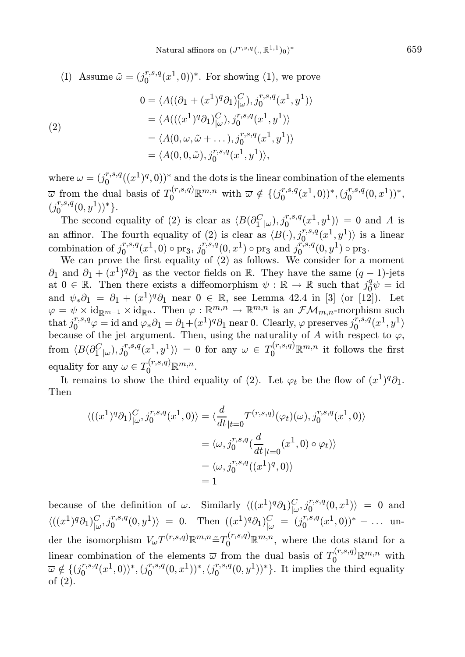(I) Assume  $\tilde{\omega} = (j_0^{r,s,q})$  $_{0}^{r,s,q}(x<sup>1</sup>,0))<sup>*</sup>$ . For showing (1), we prove (2) 0 =  $\langle A((\partial_1 + (x^1)^q \partial_1)^C_{|\omega}), j_0^{r,s,q}(x^1, y^1) \rangle$ =  $\langle A(((x^1)^q \partial_1)^C_{|\omega}\rangle, j_0^{r,s,q}(x^1,y^1)\rangle$ =  $\langle A(0, \omega, \tilde{\omega} + \dots), j_0^{r,s,q}(x^1, y^1) \rangle$ =  $\langle A(0, 0, \tilde{\omega}), j_0^{r,s,q}(x^1, y^1) \rangle,$ 

where  $\omega = (j_0^{r,s,q})$  $\binom{r,s,q}{0}(\binom{r}{1},\binom{q}{0})^*$  and the dots is the linear combination of the elements  $\overline{\omega}$  from the dual basis of  $T_0^{(r,s,q)} \mathbb{R}^{m,n}$  with  $\overline{\omega} \notin \{(j_0^{r,s,q})\}$  $j_0^{r,s,q}(x^1,0))^*$ ,  $(j_0^{r,s,q})$  $_{0}^{r,s,q}(0,x^{1}))^{*},$  $(j_0^{r,s,q})$  $_{0}^{r,s,q}(0,y^{1})$ <sup>\*</sup>}.

The second equality of (2) is clear as  $\langle B(\partial_1^C_{|\omega}), j_0^{r,s,q}(x^1, y^1) \rangle = 0$  and A is an affinor. The fourth equality of (2) is clear as  $\langle B(\cdot), j_0^{r,s,q}(x^1,y^1) \rangle$  is a linear combination of  $j_0^{r,s,q}$  $\int_0^{r,s,q}(x^1,0)\circ \mathrm{pr}_3,\, j_0^{r,s,q}$  $\int_0^{r,s,q}(0,x^1)\circ \text{pr}_3 \text{ and } j_0^{r,s,q}$  $_{0}^{r,s,q}(0,y^{1})\circ \text{pr}_{3}.$ 

We can prove the first equality of (2) as follows. We consider for a moment  $\partial_1$  and  $\partial_1 + (x^1)^q \partial_1$  as the vector fields on R. They have the same  $(q-1)$ -jets at  $0 \in \mathbb{R}$ . Then there exists a diffeomorphism  $\psi : \mathbb{R} \to \mathbb{R}$  such that  $j_0^q$  $0^q \psi = \mathrm{id}$ and  $\psi_*\partial_1 = \partial_1 + (x^1)^q \partial_1$  near  $0 \in \mathbb{R}$ , see Lemma 42.4 in [3] (or [12]). Let  $\varphi = \psi \times \mathrm{id}_{\mathbb{R}^{m-1}} \times \mathrm{id}_{\mathbb{R}^n}$ . Then  $\varphi : \mathbb{R}^{m,n} \to \mathbb{R}^{m,n}$  is an  $\mathcal{F}\mathcal{M}_{m,n}$ -morphism such that  $j_0^{r,s,q}$  $v_0^{r,s,q}\varphi = \text{id} \text{ and } \varphi_*\partial_1 = \partial_1 + (x^1)^q \partial_1 \text{ near } 0.$  Clearly,  $\varphi$  preserves  $j_0^{r,s,q}$  $_{0}^{r,s,q}(x^{1},y^{1})$ because of the jet argument. Then, using the naturality of A with respect to  $\varphi$ , from  $\langle B(\partial_1^C|_\omega), j_0^{r,s,q}(x^1,y^1)\rangle = 0$  for any  $\omega \in T_0^{(r,s,q)} \mathbb{R}^{m,n}$  it follows the first equality for any  $\omega \in T_0^{(r,s,q)} \mathbb{R}^{m,n}$ .

It remains to show the third equality of (2). Let  $\varphi_t$  be the flow of  $(x^1)^q \partial_1$ . Then

$$
\langle ((x^1)^q \partial_1)^C_{|\omega}, j_0^{r,s,q}(x^1,0) \rangle = \langle \frac{d}{dt}_{|t=0} T^{(r,s,q)}(\varphi_t)(\omega), j_0^{r,s,q}(x^1,0) \rangle
$$
  

$$
= \langle \omega, j_0^{r,s,q} (\frac{d}{dt}_{|t=0} (x^1,0) \circ \varphi_t) \rangle
$$
  

$$
= \langle \omega, j_0^{r,s,q} ((x^1)^q,0) \rangle
$$
  

$$
= 1
$$

because of the definition of  $\omega$ . Similarly  $\langle ((x^1)^q \partial_1)^C_{|\omega}, j_0^{r,s,q}(0,x^1) \rangle = 0$  and  $\langle ((x^1)^q \partial_1)^C_{|\omega}, j_0^{r,s,q}(0,y^1) \rangle = 0.$  Then  $((x^1)^q \partial_1)^C_{|\omega} = (j_0^{r,s,q})$  $_{0}^{r,s,q}(x^1,0))^* + \dots$  under the isomorphism  $V_{\omega}T^{(r,s,q)}\mathbb{R}^{m,n} \tilde{=} T_0^{(r,s,q)}\mathbb{R}^{m,n}$ , where the dots stand for a linear combination of the elements  $\overline{\omega}$  from the dual basis of  $T_0^{(r,s,q)}\mathbb{R}^{m,n}$  with  $\overline{\omega} \notin \{ (j_0^{r,s,q}) \}$  $\binom{r,s,q}{0}(x^1,0))^*$ ,  $(j_0^{r,s,q})$  $\binom{r,s,q}{0}(0,x^1))^*,(j_0^{r,s,q})$  $_{0}^{r,s,q}(0,y^{1}))^{\ast}\}.$  It implies the third equality of (2).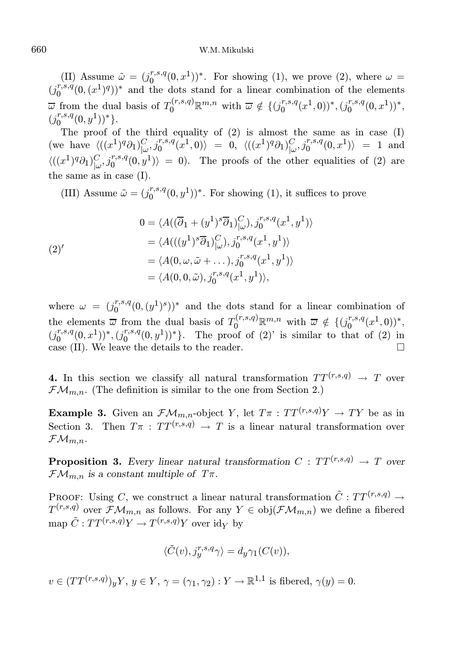## 660 W.M. Mikulski

(II) Assume  $\tilde{\omega} = (j_0^{r,s,q})$  $\binom{r,s,q}{0}(0,x^1))^*$ . For showing (1), we prove (2), where  $\omega =$  $(j_0^{r,s,q})$  $\binom{r,s,q}{0}(0,(x^1)^q)$ <sup>\*</sup> and the dots stand for a linear combination of the elements  $\overline{\omega}$  from the dual basis of  $T_0^{(r,s,q)} \mathbb{R}^{m,n}$  with  $\overline{\omega} \notin \{(j_0^{r,s,q})\}$  $\binom{r,s,q}{0}(x^1,0))^*$ ,  $(j_0^{r,s,q})$  $_{0}^{r,s,q}(0,x^{1}))^{*},$  $(j_0^{r,s,q})$  $_{0}^{r,s,q}(0,y^{1})$ <sup>\*</sup>}.

The proof of the third equality of (2) is almost the same as in case (I)  $(\text{we have } \langle ((x^1)^q \partial_1)^C_{\vert \omega}, j_0^{r,s,q}(x^1,0) \rangle = 0, \ \langle ((x^1)^q \partial_1)^C_{\vert \omega}, j_0^{r,s,q}(0,x^1) \rangle = 1 \text{ and }$  $\langle ((x^1)^q \partial_1)^C_{\omega}, j_0^{r,s,q}(0,y^1) \rangle = 0$ . The proofs of the other equalities of (2) are the same as in case (I).

(III) Assume  $\tilde{\omega} = (j_0^{r,s,q})$  $\binom{r,s,q}{0}(0,y^1)^*$ . For showing (1), it suffices to prove

(2) 
$$
0 = \langle A((\overline{\partial}_1 + (y^1)^s \overline{\partial}_1)_{(\omega)}^C), j_0^{r,s,q}(x^1, y^1) \rangle
$$

$$
= \langle A(((y^1)^s \overline{\partial}_1)_{(\omega)}^C), j_0^{r,s,q}(x^1, y^1) \rangle
$$

$$
= \langle A(0, \omega, \tilde{\omega} + \dots), j_0^{r,s,q}(x^1, y^1) \rangle
$$

$$
= \langle A(0, 0, \tilde{\omega}), j_0^{r,s,q}(x^1, y^1) \rangle,
$$

where  $\omega = (j_0^{r,s,q})$  $(n_0^{r,s,q}(0,(y<sup>1</sup>)<sup>s</sup>))$ <sup>\*</sup> and the dots stand for a linear combination of the elements  $\overline{\omega}$  from the dual basis of  $T_0^{(r,s,q)} \mathbb{R}^{m,n}$  with  $\overline{\omega} \notin \{(j_0^{r,s,q})\}$  $_{0}^{r,s,q}(x^1,0))^*,$  $(j_0^{r,s,q})$  $\binom{r,s,q}{0}(0,x^1))^*,(j_0^{r,s,q})$  $\binom{r,s,q}{0}(0,y^1)^*$ . The proof of  $(2)$ ' is similar to that of  $(2)$  in case (II). We leave the details to the reader.  $\Box$ 

4. In this section we classify all natural transformation  $TT^{(r,s,q)} \rightarrow T$  over  $\mathcal{F}\mathcal{M}_{m,n}$ . (The definition is similar to the one from Section 2.)

**Example 3.** Given an  $\mathcal{FM}_{m,n}$ -object Y, let  $T\pi : TT^{(r,s,q)}Y \to TY$  be as in Section 3. Then  $T\pi$ :  $TT^{(r,s,q)} \rightarrow T$  is a linear natural transformation over  $\mathcal{FM}_{m,n}$ .

**Proposition 3.** Every linear natural transformation  $C : TT^{(r,s,q)} \rightarrow T$  over  $\mathcal{F}\mathcal{M}_{m,n}$  is a constant multiple of  $T\pi$ .

PROOF: Using C, we construct a linear natural transformation  $\tilde{C} : TT^{(r,s,q)} \rightarrow$  $T^{(r,s,q)}$  over  $\mathcal{FM}_{m,n}$  as follows. For any  $Y \in obj(\mathcal{FM}_{m,n})$  we define a fibered map  $\tilde{C}: TT^{(r,s,q)}Y \to T^{(r,s,q)}Y$  over  $\mathrm{id}_Y$  by

$$
\langle \tilde{C}(v), j_{y}^{r,s,q} \gamma \rangle = d_{y} \gamma_{1}(C(v)),
$$

 $v \in (TT^{(r,s,q)})_yY, y \in Y, \gamma = (\gamma_1, \gamma_2) : Y \to \mathbb{R}^{1,1}$  is fibered,  $\gamma(y) = 0$ .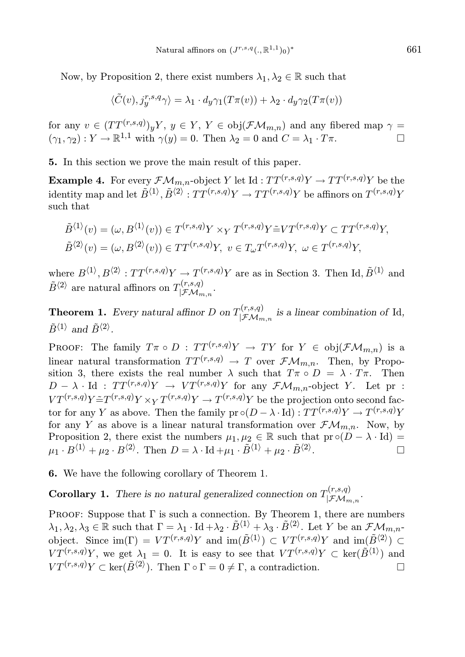Now, by Proposition 2, there exist numbers  $\lambda_1, \lambda_2 \in \mathbb{R}$  such that

$$
\langle \tilde{C}(v), j_{y}^{r,s,q} \gamma \rangle = \lambda_1 \cdot d_y \gamma_1(T\pi(v)) + \lambda_2 \cdot d_y \gamma_2(T\pi(v))
$$

for any  $v \in (TT^{(r,s,q)})_yY, y \in Y, Y \in obj(\mathcal{FM}_{m,n})$  and any fibered map  $\gamma =$  $(\gamma_1, \gamma_2) : Y \to \mathbb{R}^{1,1}$  with  $\gamma(y) = 0$ . Then  $\lambda_2 = 0$  and  $C = \lambda_1 \cdot T\pi$ .

5. In this section we prove the main result of this paper.

**Example 4.** For every  $\mathcal{FM}_{m,n}$ -object Y let Id :  $TT^{(r,s,q)}Y \to TT^{(r,s,q)}Y$  be the identity map and let  $\tilde{B}^{\langle 1 \rangle}, \tilde{B}^{\langle 2 \rangle} : TT^{(r,s,q)}Y \to TT^{(r,s,q)}Y$  be affinors on  $T^{(r,s,q)}Y$ such that

$$
\tilde{B}^{\langle 1 \rangle}(v) = (\omega, B^{\langle 1 \rangle}(v)) \in T^{(r,s,q)}Y \times_Y T^{(r,s,q)}Y \tilde{=} V T^{(r,s,q)}Y \subset TT^{(r,s,q)}Y,
$$
  

$$
\tilde{B}^{\langle 2 \rangle}(v) = (\omega, B^{\langle 2 \rangle}(v)) \in TT^{(r,s,q)}Y, v \in T_{\omega}T^{(r,s,q)}Y, \omega \in T^{(r,s,q)}Y,
$$

where  $B^{\langle 1 \rangle}, B^{\langle 2 \rangle} : TT^{(r,s,q)}Y \to T^{(r,s,q)}Y$  are as in Section 3. Then Id,  $\tilde{B}^{\langle 1 \rangle}$  and  $\tilde{B}^{\langle 2 \rangle}$  are natural affinors on  $T_{\vert \mathcal{F}M}^{(r,s,q)}$  $|\mathcal{FM}_{m,n}|$ .

**Theorem 1.** Every natural affinor D on  $T_{\mid \mathcal{F}_M}^{(r,s,q)}$  $\lim_{\beta \downarrow f \mathcal{M}_{m,n}}$  is a linear combination of Id,  $\tilde{B}^{\langle 1 \rangle}$  and  $\tilde{B}^{\langle 2 \rangle}$ .

PROOF: The family  $T\pi \circ D : TT^{(r,s,q)}Y \to TY$  for  $Y \in \text{obj}(\mathcal{F}\mathcal{M}_{m,n})$  is a linear natural transformation  $TT^{(r,s,q)} \to T$  over  $\mathcal{F}\mathcal{M}_{m,n}$ . Then, by Proposition 3, there exists the real number  $\lambda$  such that  $T\pi \circ D = \lambda \cdot T\pi$ . Then  $D - \lambda \cdot \text{Id}$  :  $TT^{(r,s,q)}Y \rightarrow VT^{(r,s,q)}Y$  for any  $\mathcal{F}\mathcal{M}_{m,n}$ -object Y. Let pr :  $VT^{(r,s,q)}Y \tilde{=} T^{(r,s,q)}Y \times_Y T^{(r,s,q)}Y \to T^{(r,s,q)}Y$  be the projection onto second factor for any Y as above. Then the family  $pr \circ (D - \lambda \cdot Id) : TT^{(r,s,q)}Y \to T^{(r,s,q)}Y$ for any Y as above is a linear natural transformation over  $\mathcal{F}\mathcal{M}_{m,n}$ . Now, by Proposition 2, there exist the numbers  $\mu_1, \mu_2 \in \mathbb{R}$  such that  $\text{pr} \circ (D - \lambda \cdot \text{Id}) =$  $\mu_1 \cdot B^{\langle 1 \rangle} + \mu_2 \cdot B^{\langle 2 \rangle}$ . Then  $D = \lambda \cdot \text{Id} + \mu_1 \cdot \tilde{B}^{\langle 1 \rangle} + \mu_2 \cdot \tilde{B}^{\langle 2 \rangle}$ . — Профессиональные профессиональные профессиональные профессиональные профессиональные профессио<br>В стандарт профессиональные профессиональные профессиональные профессиональные профессиональные профессиональн<br>Профессиона

6. We have the following corollary of Theorem 1.

**Corollary 1.** There is no natural generalized connection on  $T_{\vert\mathcal{F}M}^{(r,s,q)}$  $|{\cal FM}_{m,n}\rangle\ \left|{\cal FM}_{m,n}\right.$ 

PROOF: Suppose that  $\Gamma$  is such a connection. By Theorem 1, there are numbers  $\lambda_1, \lambda_2, \lambda_3 \in \mathbb{R}$  such that  $\Gamma = \lambda_1 \cdot \text{Id} + \lambda_2 \cdot \tilde{B}^{\langle 1 \rangle} + \lambda_3 \cdot \tilde{B}^{\langle 2 \rangle}$ . Let Y be an  $\mathcal{F}\mathcal{M}_{m,n}$ object. Since  $\text{im}(\Gamma) = VT^{(r,s,q)}Y$  and  $\text{im}(\tilde{B}^{(1)}) \subset VT^{(r,s,q)}Y$  and  $\text{im}(\tilde{B}^{(2)}) \subset$  $VT^{(r,s,q)}Y$ , we get  $\lambda_1 = 0$ . It is easy to see that  $VT^{(r,s,q)}Y \subset \text{ker}(\tilde{B}^{\langle 1 \rangle})$  and  $VT^{(r,s,q)}Y \subset \text{ker}(\tilde{B}^{\langle 2 \rangle}).$  Then  $\Gamma \circ \Gamma = 0 \neq \Gamma$ , a contradiction.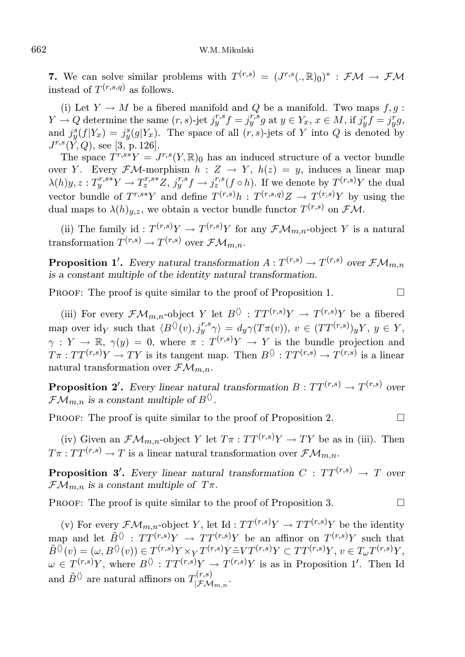**7.** We can solve similar problems with  $T^{(r,s)} = (J^{r,s}(.,\mathbb{R})_0)^* : \mathcal{FM} \to \mathcal{FM}$ instead of  $T^{(r,s,q)}$  as follows.

(i) Let  $Y \to M$  be a fibered manifold and Q be a manifold. Two maps  $f, g$ :  $Y \rightarrow Q$  determine the same  $(r, s)$ -jet  $j^{r, s}_y f = j^{r, s}_y g$  at  $y \in Y_x$ ,  $x \in M$ , if  $j^r_y f = j^r_y g$ , and  $j_y^s(f|Y_x) = j_y^s(g|Y_x)$ . The space of all  $(r, s)$ -jets of Y into Q is denoted by  $J^{r,s}(\check{Y},Q)$ , see [3, p. 126].

The space  $T^{r,s*}Y = J^{r,s}(Y,\mathbb{R})_0$  has an induced structure of a vector bundle over Y. Every  $\mathcal{F}\mathcal{M}$ -morphism  $h: Z \to Y$ ,  $h(z) = y$ , induces a linear map  $\lambda(h)y, z: T_y^{r,s*}Y \to T_z^{r,s*}Z, j_y^{r,s}f \to j_z^{r,s}(f \circ h)$ . If we denote by  $T^{(r,s)}Y$  the dual vector bundle of  $T^{r,s*}Y$  and define  $T^{(r,s)}h : T^{(r,s,q)}Z \to T^{(r,s)}Y$  by using the dual maps to  $\lambda(h)_{y,z}$ , we obtain a vector bundle functor  $T^{(r,s)}$  on  $\mathcal{F} \mathcal{M}$ .

(ii) The family id :  $T^{(r,s)}Y \to T^{(r,s)}Y$  for any  $\mathcal{FM}_{m,n}$ -object Y is a natural transformation  $T^{(r,s)} \to T^{(r,s)}$  over  $\mathcal{F}\mathcal{M}_{m,n}$ .

**Proposition 1'.** Every natural transformation  $A: T^{(r,s)} \to T^{(r,s)}$  over  $\mathcal{FM}_{m,n}$ is a constant multiple of the identity natural transformation.

PROOF: The proof is quite similar to the proof of Proposition 1.  $\Box$ 

(iii) For every  $\mathcal{F}\mathcal{M}_{m,n}$ -object Y let  $B^{\langle\rangle}: TT^{(r,s)}Y \to T^{(r,s)}Y$  be a fibered map over  $\mathrm{id}_Y$  such that  $\langle B^{\langle \rangle}(v), j_y^{r,s} \gamma \rangle = d_y \gamma(T\pi(v)), v \in (TT^{(r,s)})_y Y, y \in Y$ ,  $\gamma: Y \to \mathbb{R}, \gamma(y) = 0$ , where  $\pi: T^{(r,s)}Y \to Y$  is the bundle projection and  $T\pi: TT^{(r,s)}Y \to TY$  is its tangent map. Then  $B^{()}\colon TT^{(r,s)} \to T^{(r,s)}$  is a linear natural transformation over  $\mathcal{FM}_{m,n}$ .

**Proposition 2'.** Every linear natural transformation  $B: TT^{(r,s)} \to T^{(r,s)}$  over  $\mathcal{F}\mathcal{M}_{m,n}$  is a constant multiple of  $B^{\langle\rangle}$ .

PROOF: The proof is quite similar to the proof of Proposition 2.  $\Box$ 

(iv) Given an  $\mathcal{FM}_{m,n}$ -object Y let  $T\pi : TT^{(r,s)}Y \to TY$  be as in (iii). Then  $T\pi:TT^{(r,s)}\to T$  is a linear natural transformation over  $\mathcal{FM}_{m,n}$ .

**Proposition 3'.** Every linear natural transformation  $C : TT^{(r,s)} \rightarrow T$  over  $\mathcal{F}\mathcal{M}_{m,n}$  is a constant multiple of  $T\pi$ .

PROOF: The proof is quite similar to the proof of Proposition 3.  $\Box$ 

(v) For every  $\mathcal{F}\mathcal{M}_{m,n}$ -object Y, let Id :  $TT^{(r,s)}Y \to TT^{(r,s)}Y$  be the identity map and let  $\tilde{B}^{(n)}$ :  $TT^{(r,s)}Y \rightarrow TT^{(r,s)}Y$  be an affinor on  $T^{(r,s)}Y$  such that  $\tilde{B}^{\langle \rangle}(v) = (\omega, B^{\langle \rangle}(v)) \in T^{(r,s)}Y \times_Y T^{(r,s)}Y \tilde{=} V T^{(r,s)}Y \subset TT^{(r,s)}Y, v \in T_{\omega}T^{(r,s)}Y,$  $\omega \in T^{(r,s)}Y$ , where  $B^{(r)} : TT^{(r,s)}Y \to T^{(r,s)}Y$  is as in Proposition 1'. Then Id and  $\tilde{B}^{\langle\rangle}$  are natural affinors on  $T_{\square_{\mathcal{F}} M}^{(r,s)}$  $|\mathcal{FM}_{m,n}|$ .